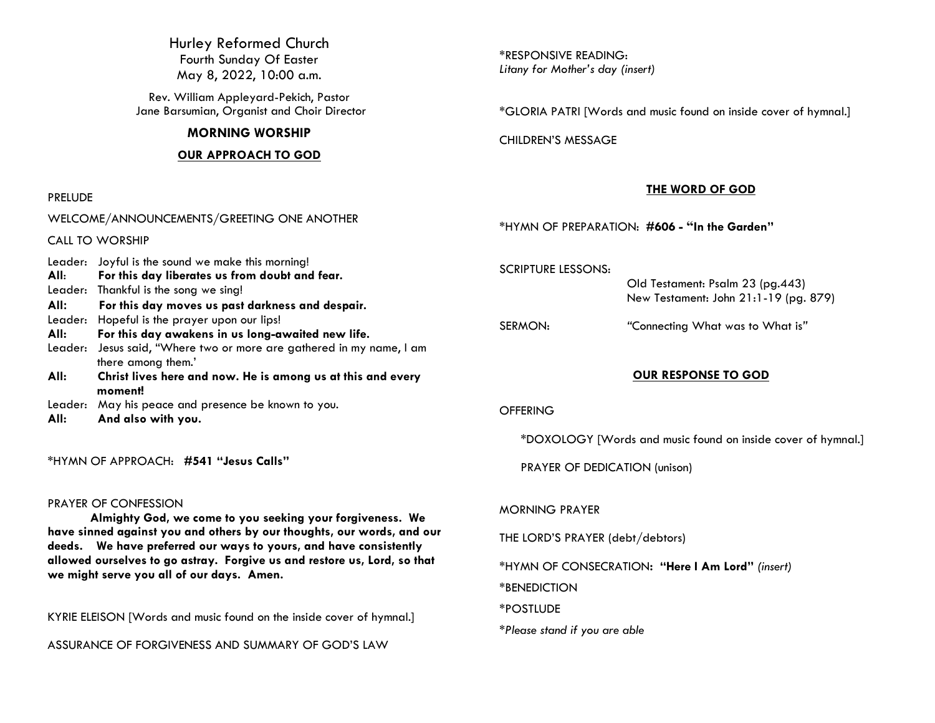Hurley Reformed Church Fourth Sunday Of Easter May 8, 2022, 10:00 a.m.

Rev. William Appleyard-Pekich, Pastor Jane Barsumian, Organist and Choir Director

### **MORNING WORSHIP**

### **OUR APPROACH TO GOD**

WELCOME/ANNOUNCEMENTS/GREETING ONE ANOTHER

#### PRELUDE

CALL TO WORSHIP

\*RESPONSIVE READING: *Litany for Mother's day (insert)*

\*GLORIA PATRI [Words and music found on inside cover of hymnal.]

CHILDREN'S MESSAGE

### **THE WORD OF GOD**

\*HYMN OF PREPARATION: **#606 - "In the Garden"**

SCRIPTURE LESSONS:

 Old Testament: Psalm 23 (pg.443) New Testament: John 21:1-19 (pg. 879)

SERMON: *"*Connecting What was to What is*"*

### **OUR RESPONSE TO GOD**

### **OFFERING**

\*DOXOLOGY [Words and music found on inside cover of hymnal.]

PRAYER OF DEDICATION (unison)

#### MORNING PRAYER

THE LORD'S PRAYER (debt/debtors)

\*HYMN OF CONSECRATION**: "Here I Am Lord"** *(insert)*

\*BENEDICTION

\*POSTLUDE

*\*Please stand if you are able*

Leader: Joyful is the sound we make this morning! **All**: **For this day liberates us from doubt and fear.** Leader:Thankful is the song we sing! **All: For this day moves us past darkness and despair.** Leader: Hopeful is the prayer upon our lips! **All: For this day awakens in us long-awaited new life.** Leader: Jesus said, "Where two or more are gathered in my name, I am there among them.' **All: Christ lives here and now. He is among us at this and every moment!** Leader: May his peace and presence be known to you. **All: And also with you.**

\*HYMN OF APPROACH: **#541 "Jesus Calls"**

### PRAYER OF CONFESSION

**Almighty God, we come to you seeking your forgiveness. We have sinned against you and others by our thoughts, our words, and our deeds. We have preferred our ways to yours, and have consistently allowed ourselves to go astray. Forgive us and restore us, Lord, so that we might serve you all of our days. Amen.**

KYRIE ELEISON [Words and music found on the inside cover of hymnal.]

ASSURANCE OF FORGIVENESS AND SUMMARY OF GOD'S LAW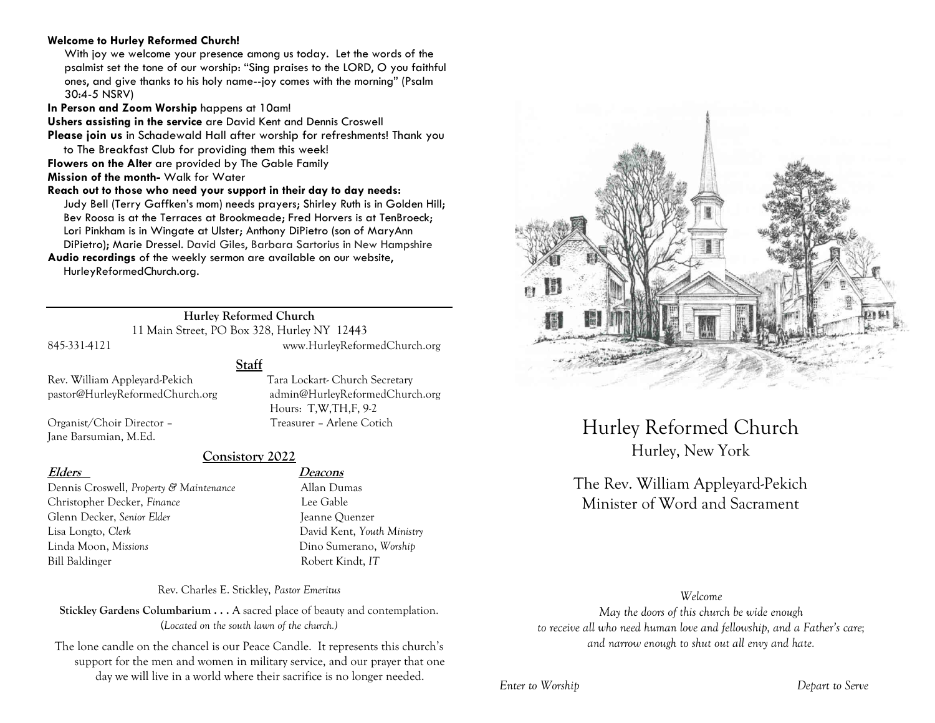### **Welcome to Hurley Reformed Church!**

With joy we welcome your presence among us today. Let the words of the psalmist set the tone of our worship: "Sing praises to the LORD, O you faithful ones, and give thanks to his holy name--joy comes with the morning" (Psalm 30:4-5 NSRV)

**In Person and Zoom Worship** happens at 10am!

**Ushers assisting in the service** are David Kent and Dennis Croswell

**Please join us** in Schadewald Hall after worship for refreshments! Thank you to The Breakfast Club for providing them this week!

**Flowers on the Alter** are provided by The Gable Family

**Mission of the month-** Walk for Water

**Reach out to those who need your support in their day to day needs:**  Judy Bell (Terry Gaffken's mom) needs prayers; Shirley Ruth is in Golden Hill; Bev Roosa is at the Terraces at Brookmeade; Fred Horvers is at TenBroeck; Lori Pinkham is in Wingate at Ulster; Anthony DiPietro (son of MaryAnn DiPietro); Marie Dressel. David Giles, Barbara Sartorius in New Hampshire

**Audio recordings** of the weekly sermon are available on our website, HurleyReformedChurch.org.

### **Hurley Reformed Church**

11 Main Street, PO Box 328, Hurley NY 12443 845-331-4121 www.HurleyReformedChurch.org

Hours: T,W,TH,F, 9-2

**Staff**

Rev. William Appleyard-Pekich Tara Lockart- Church Secretary pastor@HurleyReformedChurch.org admin@HurleyReformedChurch.org

Organist/Choir Director – Treasurer – Arlene Cotich Jane Barsumian, M.Ed.

### **Consistory 2022**

Dennis Croswell, *Property & Maintenance* Allan Dumas Christopher Decker, *Finance* Lee Gable Glenn Decker, *Senior Elder* Jeanne Ouenzer Lisa Longto, *Clerk* David Kent, *Youth Ministry* Linda Moon, *Missions* Dino Sumerano, *Worship* Bill Baldinger Robert Kindt, *IT*

### **Elders Deacons**

Rev. Charles E. Stickley, *Pastor Emeritus*

**Stickley Gardens Columbarium . . .** A sacred place of beauty and contemplation. (*Located on the south lawn of the church.)* 

The lone candle on the chancel is our Peace Candle. It represents this church's support for the men and women in military service, and our prayer that one day we will live in a world where their sacrifice is no longer needed.



Hurley Reformed Church Hurley, New York

# The Rev. William Appleyard-Pekich Minister of Word and Sacrament

### *Welcome*

*May the doors of this church be wide enough to receive all who need human love and fellowship, and a Father's care; and narrow enough to shut out all envy and hate.*

*Enter to Worship Depart to Serve*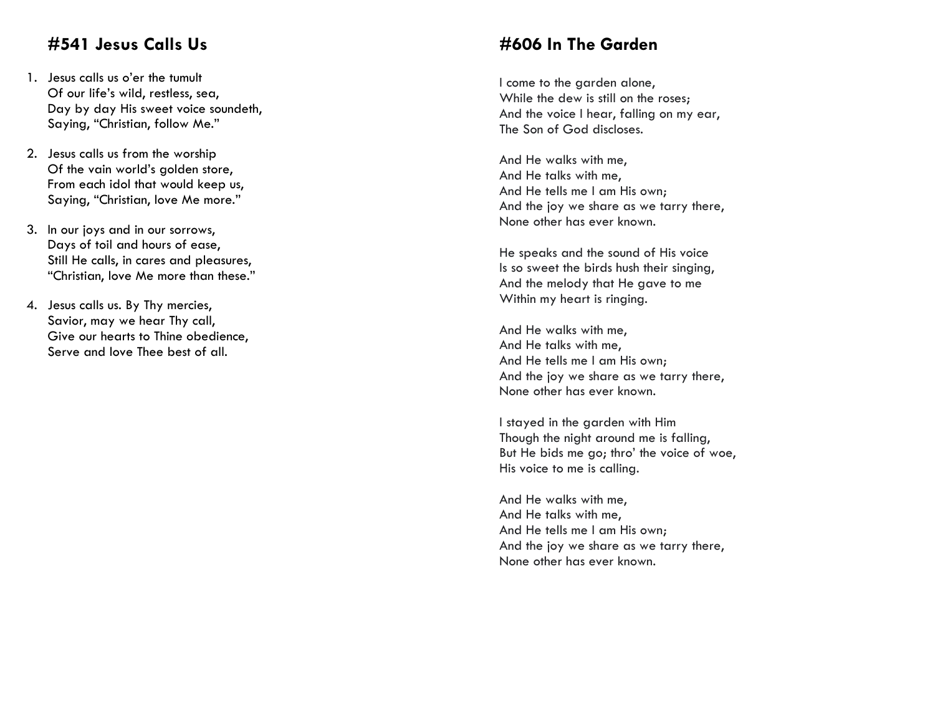# **#541 Jesus Calls Us**

- 1. Jesus calls us o'er the tumult Of our life's wild, restless, sea, Day by day His sweet voice soundeth, Saying, "Christian, follow Me. "
- 2. Jesus calls us from the worship Of the vain world's golden store, From each idol that would keep us, Saying, "Christian, love Me more."
- 3. In our joys and in our sorrows, Days of toil and hours of ease, Still He calls, in cares and pleasures, "Christian, love Me more than these. "
- 4. Jesus calls us. By Thy mercies, Savior, may we hear Thy call, Give our hearts to Thine obedience, Serve and love Thee best of all.

# **#606 In The Garden**

I come to the garden alone, While the dew is still on the roses; And the voice I hear, falling on my ear , The Son of God discloses .

And He walks with me , And He talks with me , And He tells me I am His own; And the joy we share as we tarry there, None other has ever known .

He speaks and the sound of His voice Is so sweet the birds hush their singing, And the melody that He gave to me Within my heart is ringing .

And He walks with me , And He talks with me , And He tells me I am His own; And the joy we share as we tarry there, None other has ever known .

I stayed in the garden with Him Though the night around me is falling, But He bids me go; thro' the voice of woe , His voice to me is calling .

And He walks with me , And He talks with me , And He tells me I am His own; And the joy we share as we tarry there, None other has ever known .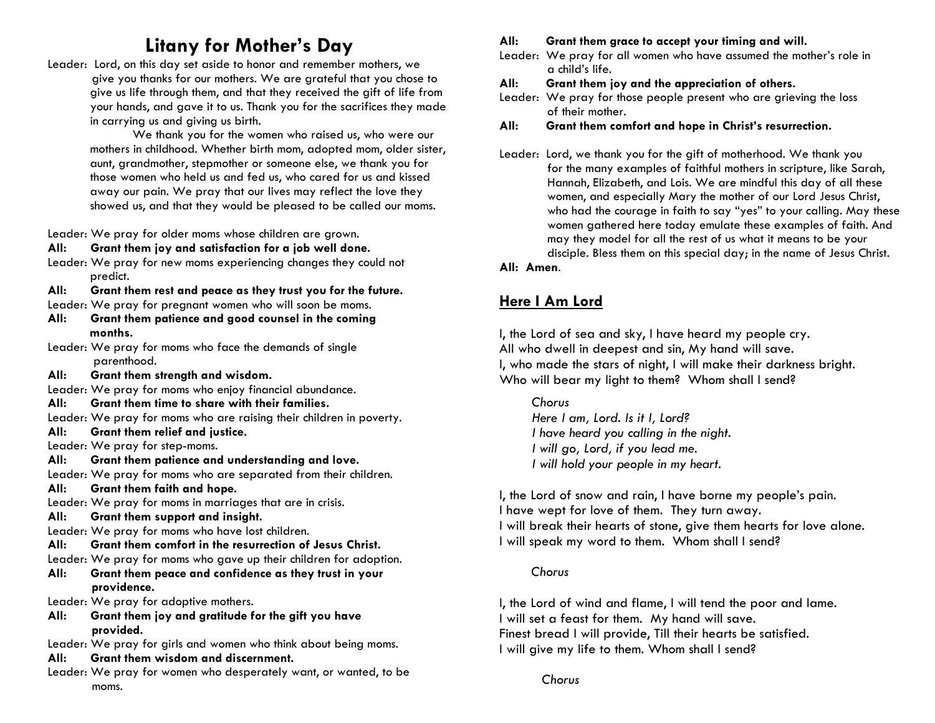# **Litany for Mother's Day**

Leader: Lord, on this day set aside to honor and remember mothers, we give you thanks for our mothers. We are grateful that you chose to give us life through them, and that they received the gift of life from your hands, and gave it to us. Thank you for the sacrifices they made in carrying us and giving us birth.

We thank you for the women who raised us, who were our mothers in childhood. Whether birth mom, adopted mom, older sister, aunt, grandmother, stepmother or someone else, we thank you for those women who held us and fed us, who cared for us and kissed away our pain. We pray that our lives may reflect the love they showed us, and that they would be pleased to be called our moms.

Leader: We pray for older moms whose children are grown.

### **All: Grant them joy and satisfaction for a job well done.**

Leader: We pray for new moms experiencing changes they could not predict.

### **All: Grant them rest and peace as they trust you for the future.**

Leader: We pray for pregnant women who will soon be moms.

- **All: Grant them patience and good counsel in the coming months.**
- Leader: We pray for moms who face the demands of single parenthood.
- **All: Grant them strength and wisdom.**
- Leader: We pray for moms who enjoy financial abundance.
- **All: Grant them time to share with their families.**
- Leader: We pray for moms who are raising their children in poverty.

**All: Grant them relief and justice.**

Leader: We pray for step-moms.

**All: Grant them patience and understanding and love.**

Leader: We pray for moms who are separated from their children.

**All: Grant them faith and hope.**

Leader: We pray for moms in marriages that are in crisis.

**All: Grant them support and insight.**

Leader: We pray for moms who have lost children.

- **All: Grant them comfort in the resurrection of Jesus Christ.**
- Leader: We pray for moms who gave up their children for adoption.

### **All: Grant them peace and confidence as they trust in your providence.**

Leader: We pray for adoptive mothers.

- **All: Grant them joy and gratitude for the gift you have provided.**
- Leader: We pray for girls and women who think about being moms.

# **All: Grant them wisdom and discernment.**

Leader: We pray for women who desperately want, or wanted, to be moms.

# **All: Grant them grace to accept your timing and will.**

Leader: We pray for all women who have assumed the mother's role in a child's life.

## **All: Grant them joy and the appreciation of others.**

Leader: We pray for those people present who are grieving the loss of their mother.

# **All: Grant them comfort and hope in Christ's resurrection.**

Leader: Lord, we thank you for the gift of motherhood. We thank you for the many examples of faithful mothers in scripture, like Sarah, Hannah, Elizabeth, and Lois. We are mindful this day of all these women, and especially Mary the mother of our Lord Jesus Christ, who had the courage in faith to say "yes" to your calling. May these women gathered here today emulate these examples of faith. And may they model for all the rest of us what it means to be your disciple. Bless them on this special day; in the name of Jesus Christ.

### **All: Amen**.

# **Here I Am Lord**

I, the Lord of sea and sky, I have heard my people cry. All who dwell in deepest and sin, My hand will save. I, who made the stars of night, I will make their darkness bright. Who will bear my light to them? Whom shall I send?

### *Chorus*

*Here I am, Lord. Is it I, Lord? I have heard you calling in the night. I will go, Lord, if you lead me. I will hold your people in my heart.* 

I, the Lord of snow and rain, I have borne my people's pain. I have wept for love of them. They turn away. I will break their hearts of stone, give them hearts for love alone. I will speak my word to them. Whom shall I send?

### *Chorus*

I, the Lord of wind and flame, I will tend the poor and lame. I will set a feast for them. My hand will save. Finest bread I will provide, Till their hearts be satisfied. I will give my life to them. Whom shall I send?

*Chorus*